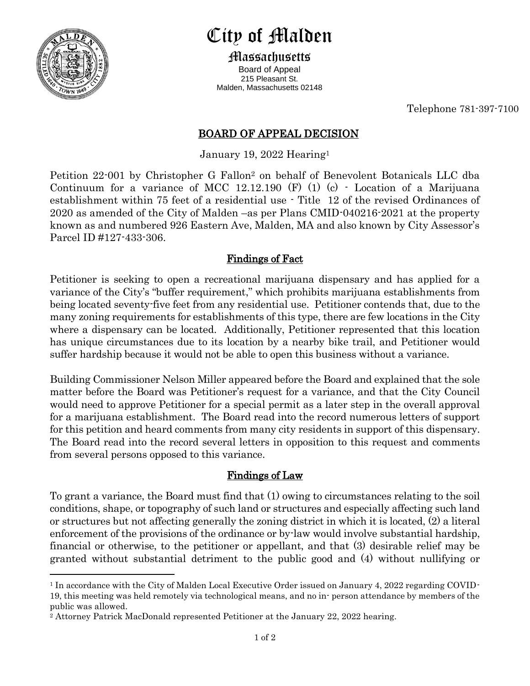

City of Malden

Massachusetts

Board of Appeal 215 Pleasant St. Malden, Massachusetts 02148

Telephone 781-397-7100

## BOARD OF APPEAL DECISION

January 19, 2022 Hearing<sup>1</sup>

Petition 22-001 by Christopher G Fallon<sup>2</sup> on behalf of Benevolent Botanicals LLC dba Continuum for a variance of MCC 12.12.190  $(F)$  (1) (c)  $\cdot$  Location of a Marijuana establishment within 75 feet of a residential use - Title 12 of the revised Ordinances of 2020 as amended of the City of Malden –as per Plans CMID-040216-2021 at the property known as and numbered 926 Eastern Ave, Malden, MA and also known by City Assessor's Parcel ID #127-433-306.

## Findings of Fact

Petitioner is seeking to open a recreational marijuana dispensary and has applied for a variance of the City's "buffer requirement," which prohibits marijuana establishments from being located seventy-five feet from any residential use. Petitioner contends that, due to the many zoning requirements for establishments of this type, there are few locations in the City where a dispensary can be located. Additionally, Petitioner represented that this location has unique circumstances due to its location by a nearby bike trail, and Petitioner would suffer hardship because it would not be able to open this business without a variance.

Building Commissioner Nelson Miller appeared before the Board and explained that the sole matter before the Board was Petitioner's request for a variance, and that the City Council would need to approve Petitioner for a special permit as a later step in the overall approval for a marijuana establishment. The Board read into the record numerous letters of support for this petition and heard comments from many city residents in support of this dispensary. The Board read into the record several letters in opposition to this request and comments from several persons opposed to this variance.

## Findings of Law

To grant a variance, the Board must find that (1) owing to circumstances relating to the soil conditions, shape, or topography of such land or structures and especially affecting such land or structures but not affecting generally the zoning district in which it is located, (2) a literal enforcement of the provisions of the ordinance or by-law would involve substantial hardship, financial or otherwise, to the petitioner or appellant, and that (3) desirable relief may be granted without substantial detriment to the public good and (4) without nullifying or

<sup>&</sup>lt;sup>1</sup> In accordance with the City of Malden Local Executive Order issued on January 4, 2022 regarding COVID-19, this meeting was held remotely via technological means, and no in- person attendance by members of the public was allowed.

<sup>2</sup> Attorney Patrick MacDonald represented Petitioner at the January 22, 2022 hearing.